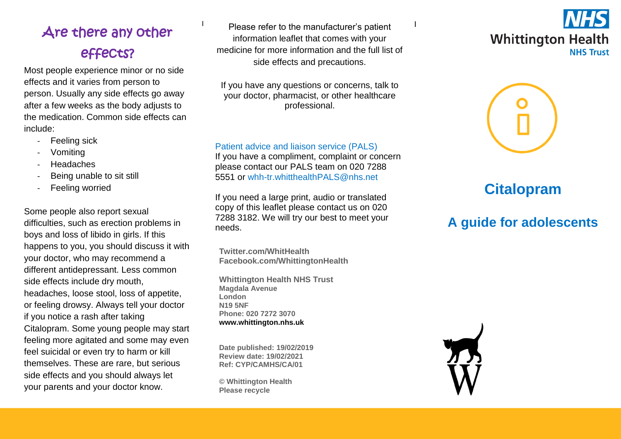# Are there any other effects?

Most people experience minor or no side effects and it varies from person to person. Usually any side effects go away after a few weeks as the body adjusts to the medication. Common side effects can include:

- Feeling sick
- **Vomiting**
- **Headaches**
- Being unable to sit still
- Feeling worried

Some people also report sexual difficulties, such as erection problems in boys and loss of libido in girls. If this happens to you, you should discuss it with your doctor, who may recommend a different antidepressant. Less common side effects include dry mouth, headaches, loose stool, loss of appetite, or feeling drowsy. Always tell your doctor if you notice a rash after taking Citalopram. Some young people may start feeling more agitated and some may even feel suicidal or even try to harm or kill themselves. These are rare, but serious side effects and you should always let your parents and your doctor know.

Please refer to the manufacturer's patient information leaflet that comes with your medicine for more information and the full list of side effects and precautions.

If you have any questions or concerns, talk to your doctor, pharmacist, or other healthcare professional.

#### Patient advice and liaison service (PALS)

If you have a compliment, complaint or concern please contact our PALS team on 020 7288 5551 or [whh-tr.whitthealthPALS@nhs.net](mailto:whh-tr.whitthealthPALS@nhs.net)

If you need a large print, audio or translated copy of this leaflet please contact us on 020 7288 3182. We will try our best to meet your needs.

**Twitter.com/WhitHealth Facebook.com/WhittingtonHealth**

**Whittington Health NHS Trust Magdala Avenue London N19 5NF Phone: 020 7272 3070 [www.whittington.nhs.uk](http://www.whittington.nhs.uk/)**

**Date published: 19/02/2019 Review date: 19/02/2021 Ref: CYP/CAMHS/CA/01**

**© Whittington Health Please recycle**





## **Citalopram**

## **A guide for adolescents**